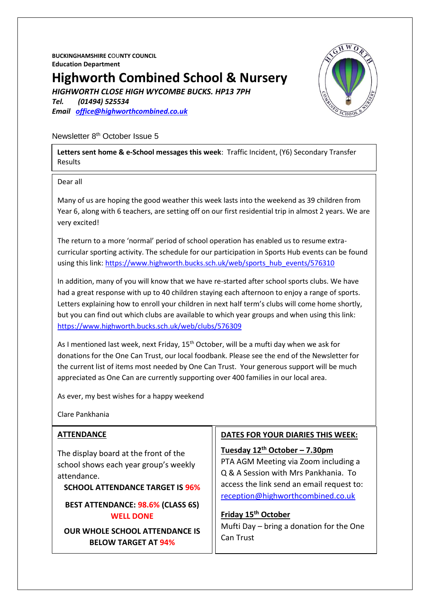**BUCKINGHAMSHIRE C**OU**NTY COUNCIL Education Department**

**Highworth Combined School & Nursery**

*HIGHWORTH CLOSE HIGH WYCOMBE BUCKS. HP13 7PH*

*Tel. (01494) 525534 Email [office@highworthcombined.co.uk](mailto:office@highworthcombined.co.uk)*

### Newsletter 8<sup>th</sup> October Issue 5

**Letters sent home & e-School messages this week**: Traffic Incident, (Y6) Secondary Transfer Results

#### Dear all

Many of us are hoping the good weather this week lasts into the weekend as 39 children from Year 6, along with 6 teachers, are setting off on our first residential trip in almost 2 years. We are very excited!

The return to a more 'normal' period of school operation has enabled us to resume extracurricular sporting activity. The schedule for our participation in Sports Hub events can be found using this link[: https://www.highworth.bucks.sch.uk/web/sports\\_hub\\_events/576310](https://www.highworth.bucks.sch.uk/web/sports_hub_events/576310)

In addition, many of you will know that we have re-started after school sports clubs. We have had a great response with up to 40 children staying each afternoon to enjoy a range of sports. Letters explaining how to enroll your children in next half term's clubs will come home shortly, but you can find out which clubs are available to which year groups and when using this link: <https://www.highworth.bucks.sch.uk/web/clubs/576309>

As I mentioned last week, next Friday,  $15<sup>th</sup>$  October, will be a mufti day when we ask for donations for the One Can Trust, our local foodbank. Please see the end of the Newsletter for the current list of items most needed by One Can Trust. Your generous support will be much appreciated as One Can are currently supporting over 400 families in our local area.

As ever, my best wishes for a happy weekend

Clare Pankhania

## Best wishes for an enjoyable weekend. The display board at the front of the **ATTENDANCE**  school shows each year group's weekly attendance. **SCHOOL ATTENDANCE TARGET IS 96%**

# **BEST ATTENDANCE: 98.6% (CLASS 6S) WELL DONE**

**OUR WHOLE SCHOOL ATTENDANCE IS BELOW TARGET AT 94%**

## **DATES FOR YOUR DIARIES THIS WEEK:**

**Tuesday 12th October – 7.30pm** PTA AGM Meeting via Zoom including a Q & A Session with Mrs Pankhania. To access the link send an email request to: [reception@highworthcombined.co.uk](mailto:reception@highworthcombined.co.uk)

# **Friday 15th October**

Mufti Day – bring a donation for the One Can Trust

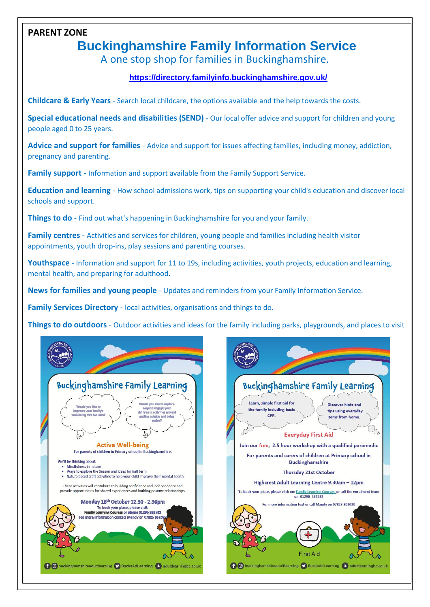# **PARENT ZONE**